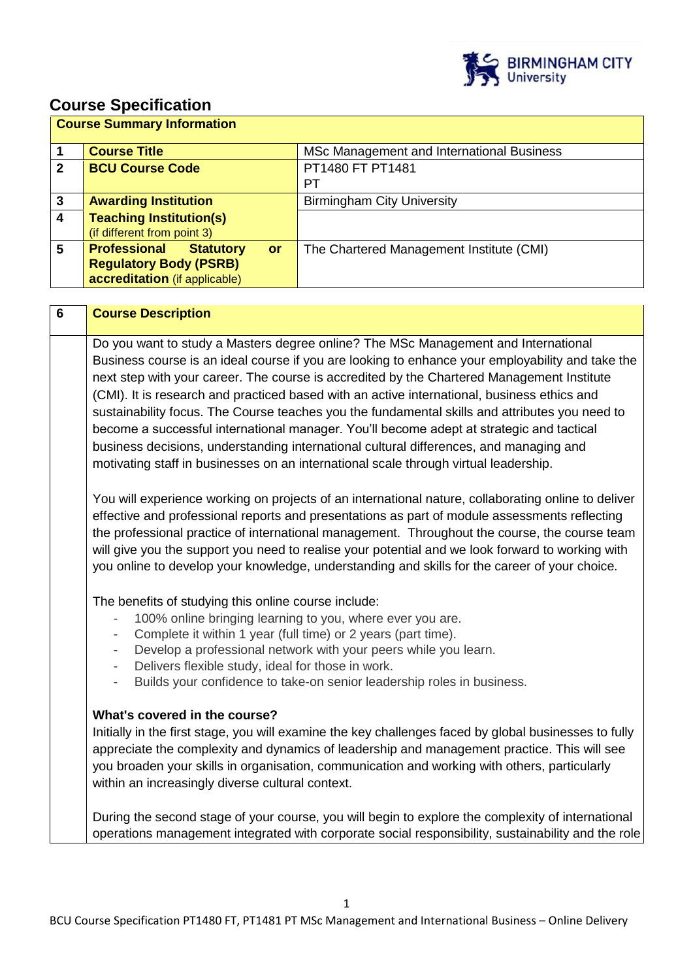

# **Course Specification**

|             | <b>Course Summary Information</b>             |                                           |  |  |  |
|-------------|-----------------------------------------------|-------------------------------------------|--|--|--|
|             | <b>Course Title</b>                           | MSc Management and International Business |  |  |  |
| $\mathbf 2$ | <b>BCU Course Code</b>                        | PT1480 FT PT1481                          |  |  |  |
|             |                                               | PТ                                        |  |  |  |
| 3           | <b>Awarding Institution</b>                   | <b>Birmingham City University</b>         |  |  |  |
| 4           | <b>Teaching Institution(s)</b>                |                                           |  |  |  |
|             | (if different from point 3)                   |                                           |  |  |  |
| 5           | <b>Professional</b><br><b>Statutory</b><br>or | The Chartered Management Institute (CMI)  |  |  |  |
|             | <b>Regulatory Body (PSRB)</b>                 |                                           |  |  |  |
|             | accreditation (if applicable)                 |                                           |  |  |  |

| $6\phantom{a}$ | <b>Course Description</b>                                                                                                                                                                                                                                                                                                                                                                                                                                                                                                                                                                                                                                                                                                                                           |
|----------------|---------------------------------------------------------------------------------------------------------------------------------------------------------------------------------------------------------------------------------------------------------------------------------------------------------------------------------------------------------------------------------------------------------------------------------------------------------------------------------------------------------------------------------------------------------------------------------------------------------------------------------------------------------------------------------------------------------------------------------------------------------------------|
|                | Do you want to study a Masters degree online? The MSc Management and International<br>Business course is an ideal course if you are looking to enhance your employability and take the<br>next step with your career. The course is accredited by the Chartered Management Institute<br>(CMI). It is research and practiced based with an active international, business ethics and<br>sustainability focus. The Course teaches you the fundamental skills and attributes you need to<br>become a successful international manager. You'll become adept at strategic and tactical<br>business decisions, understanding international cultural differences, and managing and<br>motivating staff in businesses on an international scale through virtual leadership. |
|                | You will experience working on projects of an international nature, collaborating online to deliver<br>effective and professional reports and presentations as part of module assessments reflecting<br>the professional practice of international management. Throughout the course, the course team<br>will give you the support you need to realise your potential and we look forward to working with<br>you online to develop your knowledge, understanding and skills for the career of your choice.                                                                                                                                                                                                                                                          |
|                | The benefits of studying this online course include:<br>100% online bringing learning to you, where ever you are.<br>Complete it within 1 year (full time) or 2 years (part time).<br>Develop a professional network with your peers while you learn.<br>Delivers flexible study, ideal for those in work.<br>۰<br>Builds your confidence to take-on senior leadership roles in business.<br>$\overline{\phantom{a}}$                                                                                                                                                                                                                                                                                                                                               |
|                | What's covered in the course?<br>Initially in the first stage, you will examine the key challenges faced by global businesses to fully<br>appreciate the complexity and dynamics of leadership and management practice. This will see<br>you broaden your skills in organisation, communication and working with others, particularly<br>within an increasingly diverse cultural context.                                                                                                                                                                                                                                                                                                                                                                           |
|                | During the second stage of your course, you will begin to explore the complexity of international<br>operations management integrated with corporate social responsibility, sustainability and the role                                                                                                                                                                                                                                                                                                                                                                                                                                                                                                                                                             |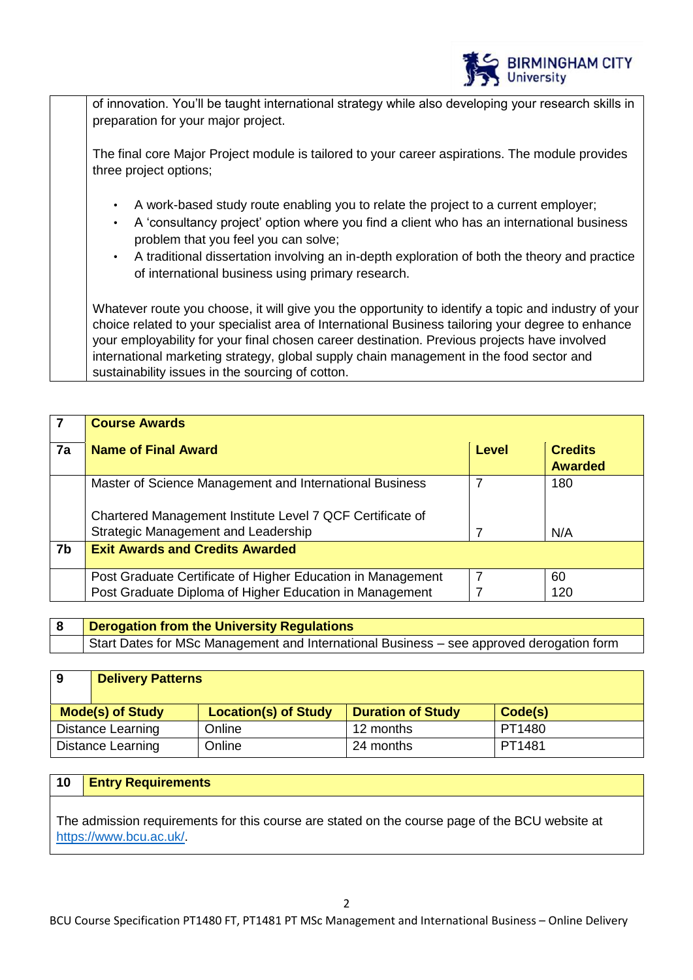

of innovation. You'll be taught international strategy while also developing your research skills in preparation for your major project.

The final core Major Project module is tailored to your career aspirations. The module provides three project options;

- A work-based study route enabling you to relate the project to a current employer;
- A 'consultancy project' option where you find a client who has an international business problem that you feel you can solve;
- A traditional dissertation involving an in-depth exploration of both the theory and practice of international business using primary research.

Whatever route you choose, it will give you the opportunity to identify a topic and industry of your choice related to your specialist area of International Business tailoring your degree to enhance your employability for your final chosen career destination. Previous projects have involved international marketing strategy, global supply chain management in the food sector and sustainability issues in the sourcing of cotton.

|    | <b>Course Awards</b>                                        |       |                                  |
|----|-------------------------------------------------------------|-------|----------------------------------|
| 7a | <b>Name of Final Award</b>                                  | Level | <b>Credits</b><br><b>Awarded</b> |
|    | Master of Science Management and International Business     |       | 180                              |
|    | Chartered Management Institute Level 7 QCF Certificate of   |       |                                  |
|    | Strategic Management and Leadership                         |       | N/A                              |
| 7b | <b>Exit Awards and Credits Awarded</b>                      |       |                                  |
|    | Post Graduate Certificate of Higher Education in Management |       | 60                               |
|    | Post Graduate Diploma of Higher Education in Management     |       | 120                              |

| <b>Derogation from the University Regulations</b>                                        |
|------------------------------------------------------------------------------------------|
| Start Dates for MSc Management and International Business – see approved derogation form |

## **9 Delivery Patterns**

| <b>Mode(s) of Study</b> | <b>Location(s) of Study</b> | <b>Duration of Study</b> | Code(s) |
|-------------------------|-----------------------------|--------------------------|---------|
| Distance Learning       | Online                      | 12 months                | PT1480  |
| Distance Learning       | Online                      | 24 months                | PT1481  |

## **10 Entry Requirements**

The admission requirements for this course are stated on the course page of the BCU website at [https://www.bcu.ac.uk/.](https://www.bcu.ac.uk/)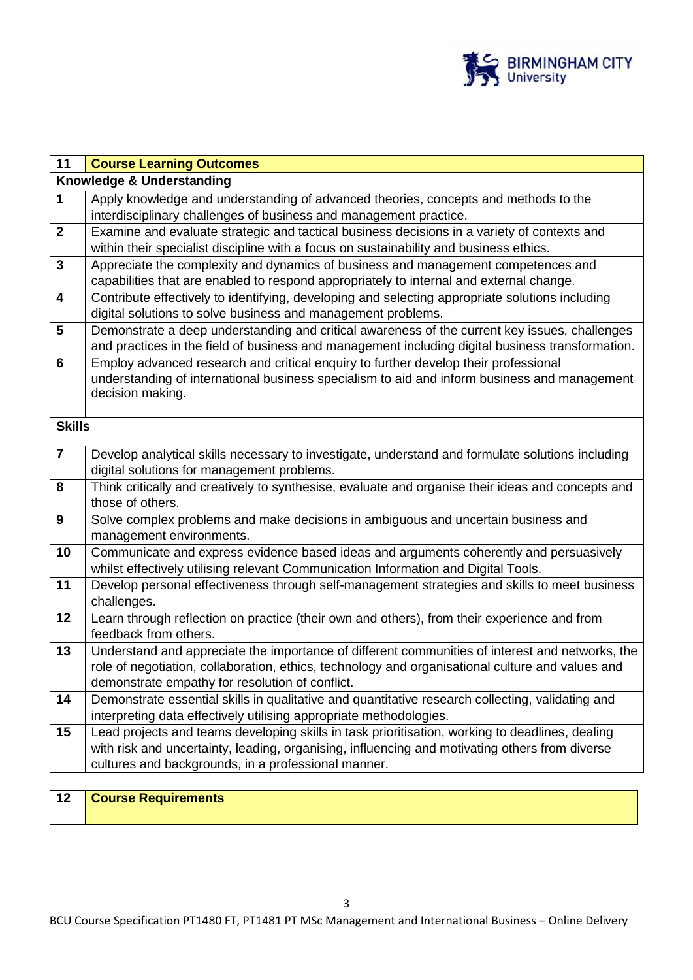

| 11                      | <b>Course Learning Outcomes</b>                                                                                                                                 |
|-------------------------|-----------------------------------------------------------------------------------------------------------------------------------------------------------------|
|                         | Knowledge & Understanding                                                                                                                                       |
| $\mathbf{1}$            | Apply knowledge and understanding of advanced theories, concepts and methods to the                                                                             |
|                         | interdisciplinary challenges of business and management practice.                                                                                               |
| $\mathbf{2}$            | Examine and evaluate strategic and tactical business decisions in a variety of contexts and                                                                     |
|                         | within their specialist discipline with a focus on sustainability and business ethics.                                                                          |
| $\mathbf{3}$            | Appreciate the complexity and dynamics of business and management competences and                                                                               |
|                         | capabilities that are enabled to respond appropriately to internal and external change.                                                                         |
| $\overline{\mathbf{4}}$ | Contribute effectively to identifying, developing and selecting appropriate solutions including<br>digital solutions to solve business and management problems. |
| 5                       | Demonstrate a deep understanding and critical awareness of the current key issues, challenges                                                                   |
|                         | and practices in the field of business and management including digital business transformation.                                                                |
| $6\phantom{1}$          | Employ advanced research and critical enquiry to further develop their professional                                                                             |
|                         | understanding of international business specialism to aid and inform business and management                                                                    |
|                         | decision making.                                                                                                                                                |
|                         |                                                                                                                                                                 |
| <b>Skills</b>           |                                                                                                                                                                 |
| $\overline{\mathbf{7}}$ | Develop analytical skills necessary to investigate, understand and formulate solutions including                                                                |
|                         | digital solutions for management problems.                                                                                                                      |
| 8                       | Think critically and creatively to synthesise, evaluate and organise their ideas and concepts and                                                               |
|                         | those of others.                                                                                                                                                |
| 9                       | Solve complex problems and make decisions in ambiguous and uncertain business and                                                                               |
|                         | management environments.                                                                                                                                        |
| 10                      | Communicate and express evidence based ideas and arguments coherently and persuasively                                                                          |
|                         | whilst effectively utilising relevant Communication Information and Digital Tools.                                                                              |
| 11                      | Develop personal effectiveness through self-management strategies and skills to meet business                                                                   |
|                         | challenges.                                                                                                                                                     |
| 12                      | Learn through reflection on practice (their own and others), from their experience and from<br>feedback from others.                                            |
| 13                      | Understand and appreciate the importance of different communities of interest and networks, the                                                                 |
|                         | role of negotiation, collaboration, ethics, technology and organisational culture and values and                                                                |
|                         | demonstrate empathy for resolution of conflict.                                                                                                                 |
| 14                      | Demonstrate essential skills in qualitative and quantitative research collecting, validating and                                                                |
|                         | interpreting data effectively utilising appropriate methodologies.                                                                                              |
| 15                      | Lead projects and teams developing skills in task prioritisation, working to deadlines, dealing                                                                 |
|                         | with risk and uncertainty, leading, organising, influencing and motivating others from diverse                                                                  |
|                         | cultures and backgrounds, in a professional manner.                                                                                                             |

| 12 | <b>Course Requirements</b> |
|----|----------------------------|
|    |                            |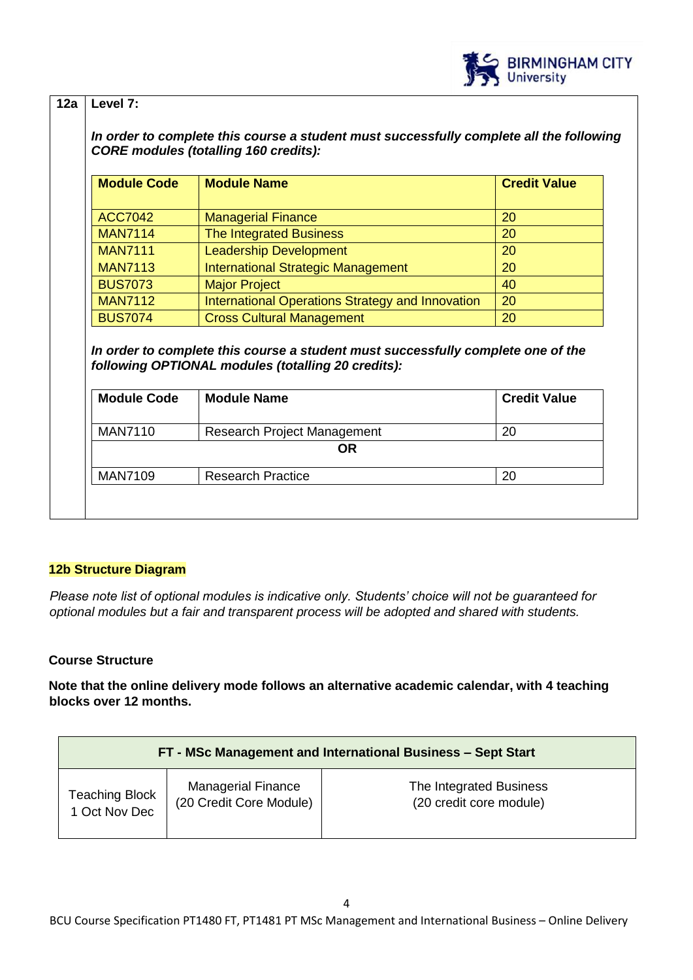

# **12a Level 7:**

*In order to complete this course a student must successfully complete all the following CORE modules (totalling 160 credits):*

| <b>Module Code</b> | <b>Module Name</b>                                      | <b>Credit Value</b> |
|--------------------|---------------------------------------------------------|---------------------|
|                    |                                                         |                     |
| <b>ACC7042</b>     | <b>Managerial Finance</b>                               | 20                  |
| <b>MAN7114</b>     | <b>The Integrated Business</b>                          | 20                  |
| <b>MAN7111</b>     | <b>Leadership Development</b>                           | 20                  |
| <b>MAN7113</b>     | <b>International Strategic Management</b>               | 20                  |
| <b>BUS7073</b>     | <b>Major Project</b>                                    | 40                  |
| <b>MAN7112</b>     | <b>International Operations Strategy and Innovation</b> | 20                  |
| <b>BUS7074</b>     | <b>Cross Cultural Management</b>                        | 20                  |

*In order to complete this course a student must successfully complete one of the following OPTIONAL modules (totalling 20 credits):* 

| <b>Module Code</b><br><b>Module Name</b>         |                             | <b>Credit Value</b> |  |  |
|--------------------------------------------------|-----------------------------|---------------------|--|--|
| <b>MAN7110</b>                                   | Research Project Management | 20                  |  |  |
| OR                                               |                             |                     |  |  |
| <b>MAN7109</b><br><b>Research Practice</b><br>20 |                             |                     |  |  |

## **12b Structure Diagram**

*Please note list of optional modules is indicative only. Students' choice will not be guaranteed for optional modules but a fair and transparent process will be adopted and shared with students.* 

## **Course Structure**

**Note that the online delivery mode follows an alternative academic calendar, with 4 teaching blocks over 12 months.** 

| FT - MSc Management and International Business - Sept Start |                           |                         |  |
|-------------------------------------------------------------|---------------------------|-------------------------|--|
| <b>Teaching Block</b>                                       | <b>Managerial Finance</b> | The Integrated Business |  |
| 1 Oct Nov Dec                                               | (20 Credit Core Module)   | (20 credit core module) |  |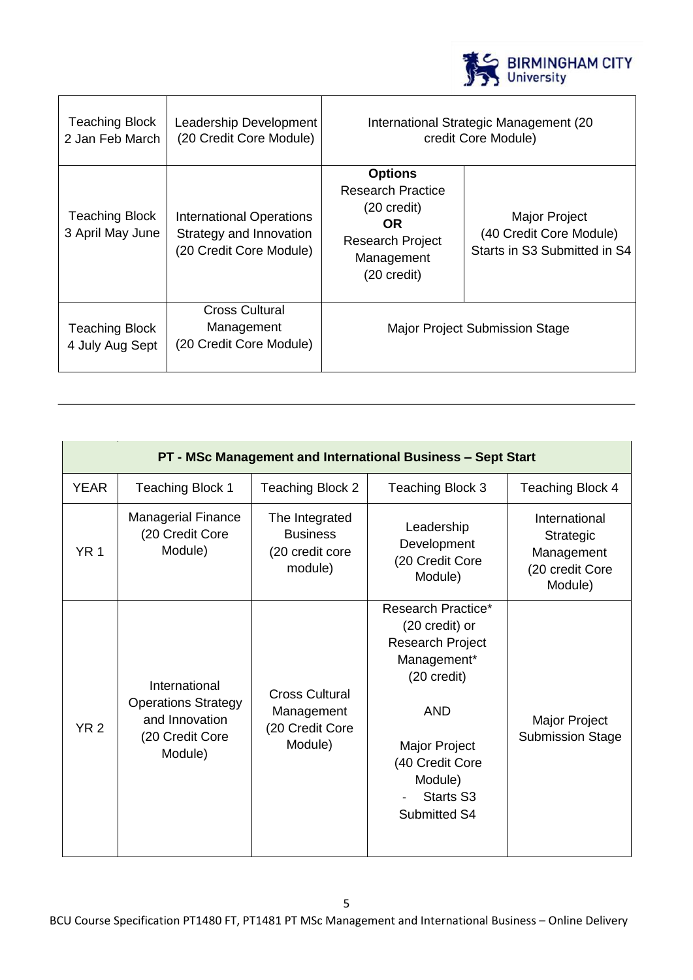

| Teaching Block<br>2 Jan Feb March         | Leadership Development<br>(20 Credit Core Module)                                     | International Strategic Management (20)<br>credit Core Module)                                                                               |                                                                          |
|-------------------------------------------|---------------------------------------------------------------------------------------|----------------------------------------------------------------------------------------------------------------------------------------------|--------------------------------------------------------------------------|
| <b>Teaching Block</b><br>3 April May June | <b>International Operations</b><br>Strategy and Innovation<br>(20 Credit Core Module) | <b>Options</b><br><b>Research Practice</b><br>$(20 \text{ credit})$<br>OR.<br><b>Research Project</b><br>Management<br>$(20 \text{ credit})$ | Major Project<br>(40 Credit Core Module)<br>Starts in S3 Submitted in S4 |
| Teaching Block<br>4 July Aug Sept         | <b>Cross Cultural</b><br>Management<br>(20 Credit Core Module)                        | <b>Major Project Submission Stage</b>                                                                                                        |                                                                          |

| PT - MSc Management and International Business - Sept Start |                                                                                             |                                                                   |                                                                                                                                                                                                |                                                                        |
|-------------------------------------------------------------|---------------------------------------------------------------------------------------------|-------------------------------------------------------------------|------------------------------------------------------------------------------------------------------------------------------------------------------------------------------------------------|------------------------------------------------------------------------|
| <b>YEAR</b>                                                 | <b>Teaching Block 1</b>                                                                     | <b>Teaching Block 2</b>                                           | <b>Teaching Block 3</b>                                                                                                                                                                        | <b>Teaching Block 4</b>                                                |
| <b>YR1</b>                                                  | <b>Managerial Finance</b><br>(20 Credit Core<br>Module)                                     | The Integrated<br><b>Business</b><br>(20 credit core<br>module)   | Leadership<br>Development<br>(20 Credit Core<br>Module)                                                                                                                                        | International<br>Strategic<br>Management<br>(20 credit Core<br>Module) |
| <b>YR2</b>                                                  | International<br><b>Operations Strategy</b><br>and Innovation<br>(20 Credit Core<br>Module) | <b>Cross Cultural</b><br>Management<br>(20 Credit Core<br>Module) | Research Practice*<br>(20 credit) or<br><b>Research Project</b><br>Management*<br>(20 credit)<br><b>AND</b><br>Major Project<br>(40 Credit Core<br>Module)<br><b>Starts S3</b><br>Submitted S4 | Major Project<br><b>Submission Stage</b>                               |